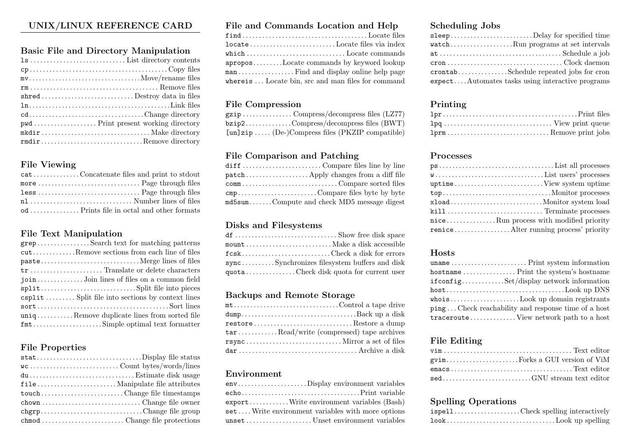# UNIX/LINUX REFERENCE CARD

## Basic File and Directory Manipulation

| $mv \ldots \ldots \ldots \ldots \ldots \ldots \ldots \ldots \ldots \ldots \ldots \ldots \text{Move/rename files}$ |  |
|-------------------------------------------------------------------------------------------------------------------|--|
|                                                                                                                   |  |
|                                                                                                                   |  |
|                                                                                                                   |  |
| cdChange directory                                                                                                |  |
|                                                                                                                   |  |
|                                                                                                                   |  |
| rmdirRemove directory                                                                                             |  |

## File Viewing

| catConcatenate files and print to stdout |
|------------------------------------------|
|                                          |
|                                          |
| nl  Number lines of files                |
|                                          |

### File Text Manipulation

| grepSearch text for matching patterns                 |  |
|-------------------------------------------------------|--|
| cutRemove sections from each line of files            |  |
|                                                       |  |
|                                                       |  |
| joinJoin lines of files on a common field             |  |
|                                                       |  |
| csplit  Split file into sections by context lines     |  |
|                                                       |  |
| $\text{uniq}$ Remove duplicate lines from sorted file |  |
|                                                       |  |

## File Properties

| statDisplay file status      |
|------------------------------|
|                              |
|                              |
|                              |
| touch Change file timestamps |
|                              |
| chgrpChange file group       |
|                              |

## File and Commands Location and Help

| $\mathtt{locate} \dots \dots \dots \dots \dots \dots \dots \dots \operatorname{Locate}$ files via $\mathtt{index}$ |
|--------------------------------------------------------------------------------------------------------------------|
| ${\tt which}\, \ldots\ldots\ldots\ldots\ldots\ldots\ldots\ldots\ldots\ldots\text{Locate commands}.$                |
| aproposLocate commands by keyword lookup                                                                           |
|                                                                                                                    |
| whereis Locate bin, src and man files for command                                                                  |

## File Compression

| $bzip2$ Compress/decompress files (BWT)                   |
|-----------------------------------------------------------|
| $[\text{un}]$ zip  (De-)Compress files (PKZIP compatible) |

## File Comparison and Patching

| cmpCompare files by te by by te            |
|--------------------------------------------|
| md5sumCompute and check MD5 message digest |

## Disks and Filesystems

| fcskCheck a disk for errors                  |  |
|----------------------------------------------|--|
| syncSynchronizes filesystem buffers and disk |  |
| $quota$ Check disk quota for current user    |  |

#### Backups and Remote Storage

| mtControl a tape drive                                                                                                    |  |
|---------------------------------------------------------------------------------------------------------------------------|--|
|                                                                                                                           |  |
| $\mathtt{restore}\ldots\ldots\ldots\ldots\ldots\ldots\ldots\ldots\ldots\ldots\mathtt{Restore}\ \mathtt{a}\ \mathtt{dump}$ |  |
| $\tan$ Read/write (compressed) tape archives                                                                              |  |
|                                                                                                                           |  |
|                                                                                                                           |  |

### Environment

| envDisplay environment variables                                            |
|-----------------------------------------------------------------------------|
|                                                                             |
| $\mathtt{export} \ldots \ldots \ldots$ . Write environment variables (Bash) |
| setWrite environment variables with more options                            |
| unsetUnset environment variables                                            |

# Scheduling Jobs

| sleepDelay for specified time                                                                       |  |
|-----------------------------------------------------------------------------------------------------|--|
| watchRun programs at set intervals                                                                  |  |
|                                                                                                     |  |
| $\mathsf{cron}\dots\dots\dots\dots\dots\dots\dots\dots\dots\dots\dots\text{Clock}\_\mathsf{daemon}$ |  |
| crontabSchedule repeated jobs for cron                                                              |  |
| expectAutomates tasks using interactive programs                                                    |  |

## Printing

#### Processes

| niceRun process with modified priority |
|----------------------------------------|
|                                        |

### Hosts

| if configSet/display network information                           |
|--------------------------------------------------------------------|
|                                                                    |
| whoisLook up domain registrants                                    |
| $\text{ping} \dots$ Check reachability and response time of a host |
| tracerouteView network path to a host                              |

## File Editing

| sedGNU stream text editor |
|---------------------------|

## Spelling Operations

|  |  | is pell Check spelling interactively |
|--|--|--------------------------------------|
|  |  |                                      |